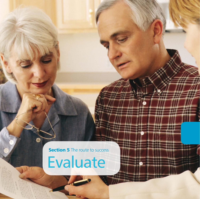**Section 5** The route to success

Ô

ГTТ

71

TТ ₩

unit

ГD.

97

TT

a a

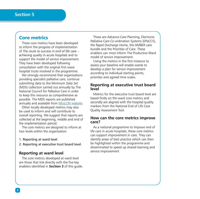## Core metrics

These core metrics have been developed to inform the progress of implementation of *The route to success in end of life care – achieving quality in acute hospitals* and to support the model of service improvement. They have been developed following consultation with the original first wave hospital trusts involved in the programme.

We strongly recommend that organisations providing specialist palliative care, continue submitting data to the Minimum Data Set (MDS) collection carried out annually by The National Council for Palliative Care in order to keep this resource as comprehensive as possible. The MDS reports are published annually and available from [NEoLCIN website.](http://www.endoflifecare-intelligence.org.uk/resources/publications/mdsreport2013)

Other locally developed metrics may also be used to inform and will contribute to overall reporting. We suggest that reports are collected at the beginning, middle and end of the implementation period.

The core metrics are designed to inform at two levels within the organisation:

- 1. Reporting at ward level
- 2. Reporting at executive trust board level.

### **Reporting at ward level**

The core metrics developed at ward level are those that link directly with the five key enablers identified in **Section 3** of this guide.

These are Advance Care Planning, Electronic Palliative Care Co-ordination Systems (EPaCCS), the Rapid Discharge Home, the AMBER care bundle and the Priorities of Care. These enablers can most inform The Productive Ward model of service improvement.

Using the metrics in the first instance to assess your baseline will enable wards to develop a plan for service improvement according to individual starting points, priorities and agreed time scales.

### **Reporting at executive trust board level**

Metrics for the executive trust board level are based firstly on the ward core metrics and secondly are aligned with the hospital quality markers from the National End of Life Care Quality Assessment Tool.

### **How can the core metrics improve care?**

As a national programme to improve end of life care in acute hospitals, these core metrics can support improvement in care. They can identify areas of best practice which can then be highlighted within the programme and disseminated to speed up shared learning and service improvement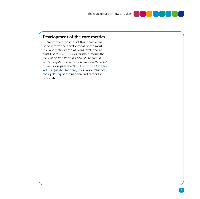

### **Development of the core metrics**

One of the outcomes of this initiative will be to inform the development of the most relevant metrics both at ward level, and at trust board level. This will further inform the roll out of *Transforming end of life care in acute hospitals: The route to success 'how to' guide*. Alongside the [NICE End of Life Care for](https://www.nice.org.uk/guidance/qs13)  [Adults Quality Standard,](https://www.nice.org.uk/guidance/qs13) it will also influence the updating of the national indicators for hospitals.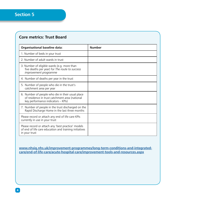## **Core metrics: Trust Board**

| Organisational baseline data:                                                                                                            | <b>Number</b> |
|------------------------------------------------------------------------------------------------------------------------------------------|---------------|
| 1. Number of beds in your trust                                                                                                          |               |
| 2. Number of adult wards in trust                                                                                                        |               |
| 3. Number of eligible wards (e.g. more than<br>five deaths per year) for The route to success<br><i>improvement programme</i>            |               |
| 4. Number of deaths per year in the trust                                                                                                |               |
| 5. Number of people who die in the trust's<br>catchment area per year                                                                    |               |
| 6. Number of people who die in their usual place<br>of residence in trust catchment area (national<br>key performance indicators - KPIs) |               |
| 7. Number of people in the trust discharged on the<br>Rapid Discharge Home in the last three months                                      |               |
| Please record or attach any end of life care KPIs<br>currently in use in your trust                                                      |               |
| Please record or attach any 'best practice' models<br>of end of life care education and training initiatives<br>in your trust            |               |

**[www.nhsiq.nhs.uk/improvement-programmes/long-term-conditions-and-integrated](http://www.nhsiq.nhs.uk/improvement-programmes/long-term-conditions-and-integrated-care/end-of-life-care/acute-hospital-care/improvement-tools-and-resources.aspx)[care/end-of-life-care/acute-hospital-care/improvement-tools-and-resources.aspx](http://www.nhsiq.nhs.uk/improvement-programmes/long-term-conditions-and-integrated-care/end-of-life-care/acute-hospital-care/improvement-tools-and-resources.aspx)**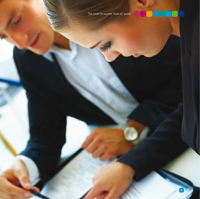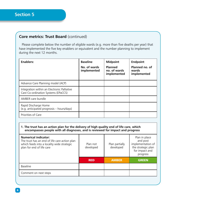### **Core metrics: Trust Board** (continued)

Please complete below the number of eligible wards (e.g. more than five deaths per year) that have implemented the five key enablers or equivalent and the number planning to implement during the next 12 months.

| Enablers:                                                                          | <b>Baseline</b><br>No. of wards<br>implemented | <b>Midpoint</b><br>Planned<br>no. of wards<br>implemented | <b>Endpoint</b><br>Planned no. of<br>wards<br>implemented |
|------------------------------------------------------------------------------------|------------------------------------------------|-----------------------------------------------------------|-----------------------------------------------------------|
| Advance Care Planning model (ACP)                                                  |                                                |                                                           |                                                           |
| Integration within an Electronic Palliative<br>Care Co-ordination Systems (EPaCCS) |                                                |                                                           |                                                           |
| AMBER care bundle                                                                  |                                                |                                                           |                                                           |
| Rapid Discharge Home<br>(e.g. anticipated prognosis - hours/days)                  |                                                |                                                           |                                                           |
| Priorities of Care                                                                 |                                                |                                                           |                                                           |

#### **1. The trust has an action plan for the delivery of high quality end of life care, which encompasses people with all diagnoses, and is reviewed for impact and progress**

| <b>Numerical indicator:</b><br>The trust has an end of life care action plan<br>which feeds into a locality wide strategic<br>plan for end of life care | Plan not<br>developed | Plan partially<br>developed | Plan in place<br>and post<br>implementation of<br>the strategic plan<br>for impact and<br>progress |
|---------------------------------------------------------------------------------------------------------------------------------------------------------|-----------------------|-----------------------------|----------------------------------------------------------------------------------------------------|
|                                                                                                                                                         | <b>RED</b>            | <b>AMBER</b>                | <b>GREEN</b>                                                                                       |
| Baseline                                                                                                                                                |                       |                             |                                                                                                    |
| Comment on next steps                                                                                                                                   |                       |                             |                                                                                                    |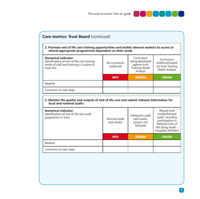

### **Core metrics: Trust Board** (continued)

#### **2. Promote end of life care training opportunities and enable relevant workers to access or attend appropriate programmes dependent on their needs**

| <b>Numerical indicator:</b><br>Identification of end of life care training<br>needs of staff and training is in place to<br>meet this | No curriculum<br>evidenced | Curriculum<br>being developed<br>against trust<br><b>Training Needs</b><br>Analysis | Curriculum<br>evidenced based<br>on trust Training<br>Needs Analysis |
|---------------------------------------------------------------------------------------------------------------------------------------|----------------------------|-------------------------------------------------------------------------------------|----------------------------------------------------------------------|
|                                                                                                                                       | <b>RED</b>                 | <b>AMBER</b>                                                                        | <b>GREEN</b>                                                         |
| Baseline                                                                                                                              |                            |                                                                                     |                                                                      |
| Comment on next steps                                                                                                                 |                            |                                                                                     |                                                                      |

#### **3. Monitor the quality and outputs of end of life care and submit relevant information for local and national audits**

| <b>Numerical indicator:</b><br>Identification of end of life care audit<br>programme in trust | Minimal audit<br>and review | Infrequent audit<br>and review,<br>actions not<br>followed | Regular and<br>comprehensive<br>audit, including<br>participation in<br>National Care of<br>the Dying Audit -<br>Hospitals (NCDAH) |
|-----------------------------------------------------------------------------------------------|-----------------------------|------------------------------------------------------------|------------------------------------------------------------------------------------------------------------------------------------|
|                                                                                               | <b>RED</b>                  | <b>AMBER</b>                                               | <b>GREEN</b>                                                                                                                       |
| Baseline                                                                                      |                             |                                                            |                                                                                                                                    |
| Comment on next steps                                                                         |                             |                                                            |                                                                                                                                    |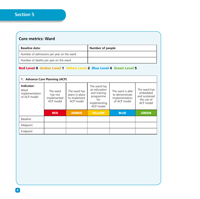## **Core metrics: Ward**

| <b>Baseline data:</b>                     | Number of people |
|-------------------------------------------|------------------|
| Number of admissions per year on the ward |                  |
| Number of deaths per year on the ward     |                  |

### Red Level 0 Amber Level 1 Yellow Level 2 Blue Level 4 Green Level 5

| 1. Advance Care Planning (ACP)                       |                                                 |                                                             |                                                                                               |                                                                      |                                                                      |  |
|------------------------------------------------------|-------------------------------------------------|-------------------------------------------------------------|-----------------------------------------------------------------------------------------------|----------------------------------------------------------------------|----------------------------------------------------------------------|--|
| Indicator:<br>Ward<br>implementation<br>of ACP model | The ward<br>has not<br>implemented<br>ACP model | The ward has<br>plans in place<br>to implement<br>ACP model | The ward has<br>an education<br>and training<br>programme<br>for<br>implementing<br>ACP model | The ward is able<br>to demonstrate<br>implementation<br>of ACP model | The ward has<br>embedded<br>and sustained<br>the use of<br>ACP model |  |
|                                                      | <b>RED</b>                                      | <b>AMBER</b>                                                | <b>YELLOW</b>                                                                                 | <b>BLUE</b>                                                          | <b>GREEN</b>                                                         |  |
| <b>Baseline</b>                                      |                                                 |                                                             |                                                                                               |                                                                      |                                                                      |  |
| Midpoint                                             |                                                 |                                                             |                                                                                               |                                                                      |                                                                      |  |
| Endpoint                                             |                                                 |                                                             |                                                                                               |                                                                      |                                                                      |  |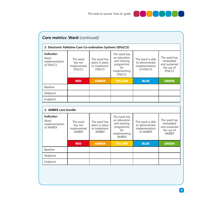| <b>Core metrics: Ward (continued)</b>             |                                                              |                                                                         |                                                                                                            |                                                                                 |                                                                                  |  |  |
|---------------------------------------------------|--------------------------------------------------------------|-------------------------------------------------------------------------|------------------------------------------------------------------------------------------------------------|---------------------------------------------------------------------------------|----------------------------------------------------------------------------------|--|--|
|                                                   | 2. Electronic Palliative Care Co-ordination Systems (EPaCCS) |                                                                         |                                                                                                            |                                                                                 |                                                                                  |  |  |
| Indicator:<br>Ward<br>implementation<br>of FPaCCS | The ward<br>has not<br>implemented<br>EPaCCS                 | The ward has<br>plans in place<br>to implement<br>EPaCCS                | The ward has<br>an education<br>and training<br>programme<br>for<br>implementing<br>EPaCCS                 | The ward is able<br>to demonstrate<br>implementation<br>of EPaCCS               | The ward has<br>embedded<br>and sustained<br>the use of<br>EPaCCS                |  |  |
|                                                   | <b>RED</b>                                                   | <b>AMBER</b>                                                            | <b>YELLOW</b>                                                                                              | <b>BLUE</b>                                                                     | <b>GREEN</b>                                                                     |  |  |
| Baseline                                          |                                                              |                                                                         |                                                                                                            |                                                                                 |                                                                                  |  |  |
| Midpoint                                          |                                                              |                                                                         |                                                                                                            |                                                                                 |                                                                                  |  |  |
| Endpoint                                          |                                                              |                                                                         |                                                                                                            |                                                                                 |                                                                                  |  |  |
| 3. AMBER care bundle                              |                                                              |                                                                         |                                                                                                            |                                                                                 |                                                                                  |  |  |
| Indicator:<br>Ward<br>implementation<br>of AMBER  | The ward<br>has not<br>implemented<br>AMBER<br><b>RED</b>    | The ward has<br>plans in place<br>to implement<br>AMBER<br><b>AMBER</b> | The ward has<br>an education<br>and training<br>programme<br>for<br>implementing<br>AMBER<br><b>YELLOW</b> | The ward is able<br>to demonstrate<br>implementation<br>of AMBER<br><b>BLUE</b> | The ward has<br>embedded<br>and sustained<br>the use of<br>AMBER<br><b>GREEN</b> |  |  |
| Baseline                                          |                                                              |                                                                         |                                                                                                            |                                                                                 |                                                                                  |  |  |
| Midpoint                                          |                                                              |                                                                         |                                                                                                            |                                                                                 |                                                                                  |  |  |
| Endpoint                                          |                                                              |                                                                         |                                                                                                            |                                                                                 |                                                                                  |  |  |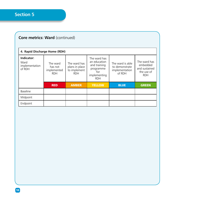# **Core metrics: Ward** (continued)

| 4. Rapid Discharge Home (RDH)                  |                                                  |                                                              |                                                                                                |                                                                |                                                                       |  |
|------------------------------------------------|--------------------------------------------------|--------------------------------------------------------------|------------------------------------------------------------------------------------------------|----------------------------------------------------------------|-----------------------------------------------------------------------|--|
| Indicator:<br>Ward<br>implementation<br>of RDH | The ward<br>has not<br>implemented<br><b>RDH</b> | The ward has<br>plans in place<br>to implement<br><b>RDH</b> | The ward has<br>an education<br>and training<br>programme<br>for<br>implementing<br><b>RDH</b> | The ward is able<br>to demonstrate<br>implementation<br>of RDH | The ward has<br>embedded<br>and sustained<br>the use of<br><b>RDH</b> |  |
|                                                | <b>RED</b>                                       | <b>AMBER</b>                                                 | <b>YELLOW</b>                                                                                  | <b>BLUE</b>                                                    | <b>GREEN</b>                                                          |  |
| Baseline                                       |                                                  |                                                              |                                                                                                |                                                                |                                                                       |  |
| Midpoint                                       |                                                  |                                                              |                                                                                                |                                                                |                                                                       |  |
| Endpoint                                       |                                                  |                                                              |                                                                                                |                                                                |                                                                       |  |